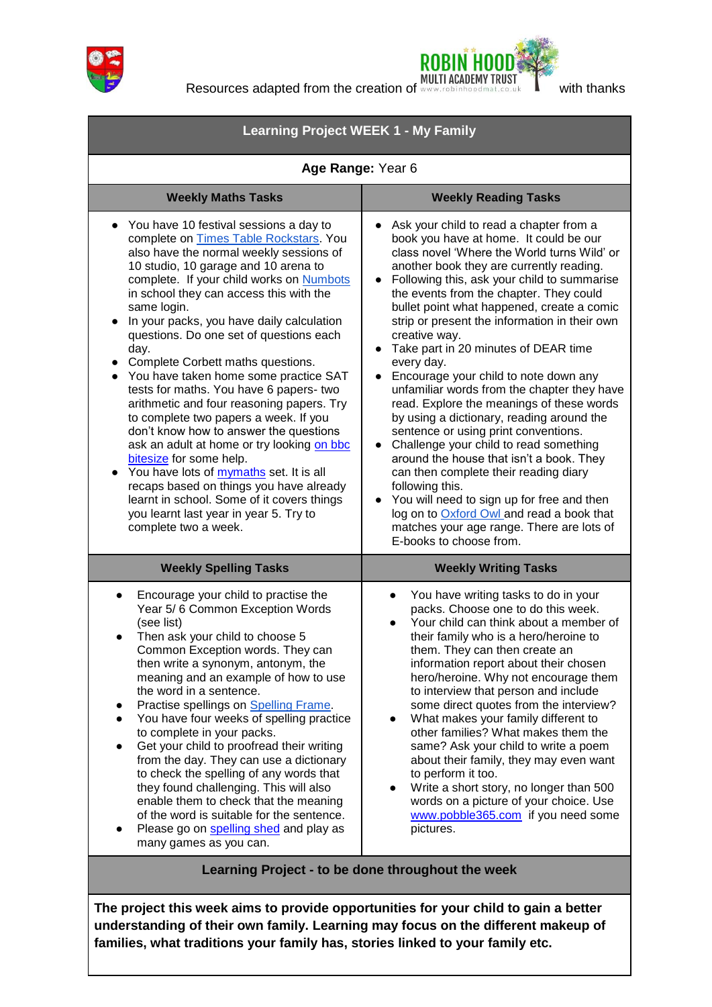



**Resources adapted from the creation of www.rebinhoodmat.co.uk Watch thanks** 

| <b>Learning Project WEEK 1 - My Family</b>                                                                                                                                                                                                                                                                                                                                                                                                                                                                                                                                                                                                                                                                                                                                                                                                                                                                                     |                                                                                                                                                                                                                                                                                                                                                                                                                                                                                                                                                                                                                                                                                                                                                                                                                                                                                                                                                                                                                              |
|--------------------------------------------------------------------------------------------------------------------------------------------------------------------------------------------------------------------------------------------------------------------------------------------------------------------------------------------------------------------------------------------------------------------------------------------------------------------------------------------------------------------------------------------------------------------------------------------------------------------------------------------------------------------------------------------------------------------------------------------------------------------------------------------------------------------------------------------------------------------------------------------------------------------------------|------------------------------------------------------------------------------------------------------------------------------------------------------------------------------------------------------------------------------------------------------------------------------------------------------------------------------------------------------------------------------------------------------------------------------------------------------------------------------------------------------------------------------------------------------------------------------------------------------------------------------------------------------------------------------------------------------------------------------------------------------------------------------------------------------------------------------------------------------------------------------------------------------------------------------------------------------------------------------------------------------------------------------|
| Age Range: Year 6                                                                                                                                                                                                                                                                                                                                                                                                                                                                                                                                                                                                                                                                                                                                                                                                                                                                                                              |                                                                                                                                                                                                                                                                                                                                                                                                                                                                                                                                                                                                                                                                                                                                                                                                                                                                                                                                                                                                                              |
| <b>Weekly Maths Tasks</b>                                                                                                                                                                                                                                                                                                                                                                                                                                                                                                                                                                                                                                                                                                                                                                                                                                                                                                      | <b>Weekly Reading Tasks</b>                                                                                                                                                                                                                                                                                                                                                                                                                                                                                                                                                                                                                                                                                                                                                                                                                                                                                                                                                                                                  |
| You have 10 festival sessions a day to<br>complete on Times Table Rockstars. You<br>also have the normal weekly sessions of<br>10 studio, 10 garage and 10 arena to<br>complete. If your child works on Numbots<br>in school they can access this with the<br>same login.<br>In your packs, you have daily calculation<br>$\bullet$<br>questions. Do one set of questions each<br>day.<br>Complete Corbett maths questions.<br>You have taken home some practice SAT<br>tests for maths. You have 6 papers- two<br>arithmetic and four reasoning papers. Try<br>to complete two papers a week. If you<br>don't know how to answer the questions<br>ask an adult at home or try looking on bbc<br>bitesize for some help.<br>You have lots of mymaths set. It is all<br>recaps based on things you have already<br>learnt in school. Some of it covers things<br>you learnt last year in year 5. Try to<br>complete two a week. | Ask your child to read a chapter from a<br>book you have at home. It could be our<br>class novel 'Where the World turns Wild' or<br>another book they are currently reading.<br>Following this, ask your child to summarise<br>$\bullet$<br>the events from the chapter. They could<br>bullet point what happened, create a comic<br>strip or present the information in their own<br>creative way.<br>Take part in 20 minutes of DEAR time<br>every day.<br>Encourage your child to note down any<br>unfamiliar words from the chapter they have<br>read. Explore the meanings of these words<br>by using a dictionary, reading around the<br>sentence or using print conventions.<br>Challenge your child to read something<br>$\bullet$<br>around the house that isn't a book. They<br>can then complete their reading diary<br>following this.<br>You will need to sign up for free and then<br>log on to <b>Oxford Owl</b> and read a book that<br>matches your age range. There are lots of<br>E-books to choose from. |
| <b>Weekly Spelling Tasks</b>                                                                                                                                                                                                                                                                                                                                                                                                                                                                                                                                                                                                                                                                                                                                                                                                                                                                                                   | <b>Weekly Writing Tasks</b>                                                                                                                                                                                                                                                                                                                                                                                                                                                                                                                                                                                                                                                                                                                                                                                                                                                                                                                                                                                                  |
| Encourage your child to practise the<br>Year 5/6 Common Exception Words<br>(see list)<br>Then ask your child to choose 5<br>Common Exception words. They can<br>then write a synonym, antonym, the<br>meaning and an example of how to use<br>the word in a sentence.<br>Practise spellings on Spelling Frame.<br>You have four weeks of spelling practice<br>to complete in your packs.<br>Get your child to proofread their writing<br>from the day. They can use a dictionary<br>to check the spelling of any words that<br>they found challenging. This will also<br>enable them to check that the meaning<br>of the word is suitable for the sentence.<br>Please go on spelling shed and play as<br>many games as you can.                                                                                                                                                                                                | You have writing tasks to do in your<br>$\bullet$<br>packs. Choose one to do this week.<br>Your child can think about a member of<br>their family who is a hero/heroine to<br>them. They can then create an<br>information report about their chosen<br>hero/heroine. Why not encourage them<br>to interview that person and include<br>some direct quotes from the interview?<br>What makes your family different to<br>other families? What makes them the<br>same? Ask your child to write a poem<br>about their family, they may even want<br>to perform it too.<br>Write a short story, no longer than 500<br>words on a picture of your choice. Use<br>www.pobble365.com if you need some<br>pictures.                                                                                                                                                                                                                                                                                                                 |

**Learning Project - to be done throughout the week**

**The project this week aims to provide opportunities for your child to gain a better understanding of their own family. Learning may focus on the different makeup of families, what traditions your family has, stories linked to your family etc.**